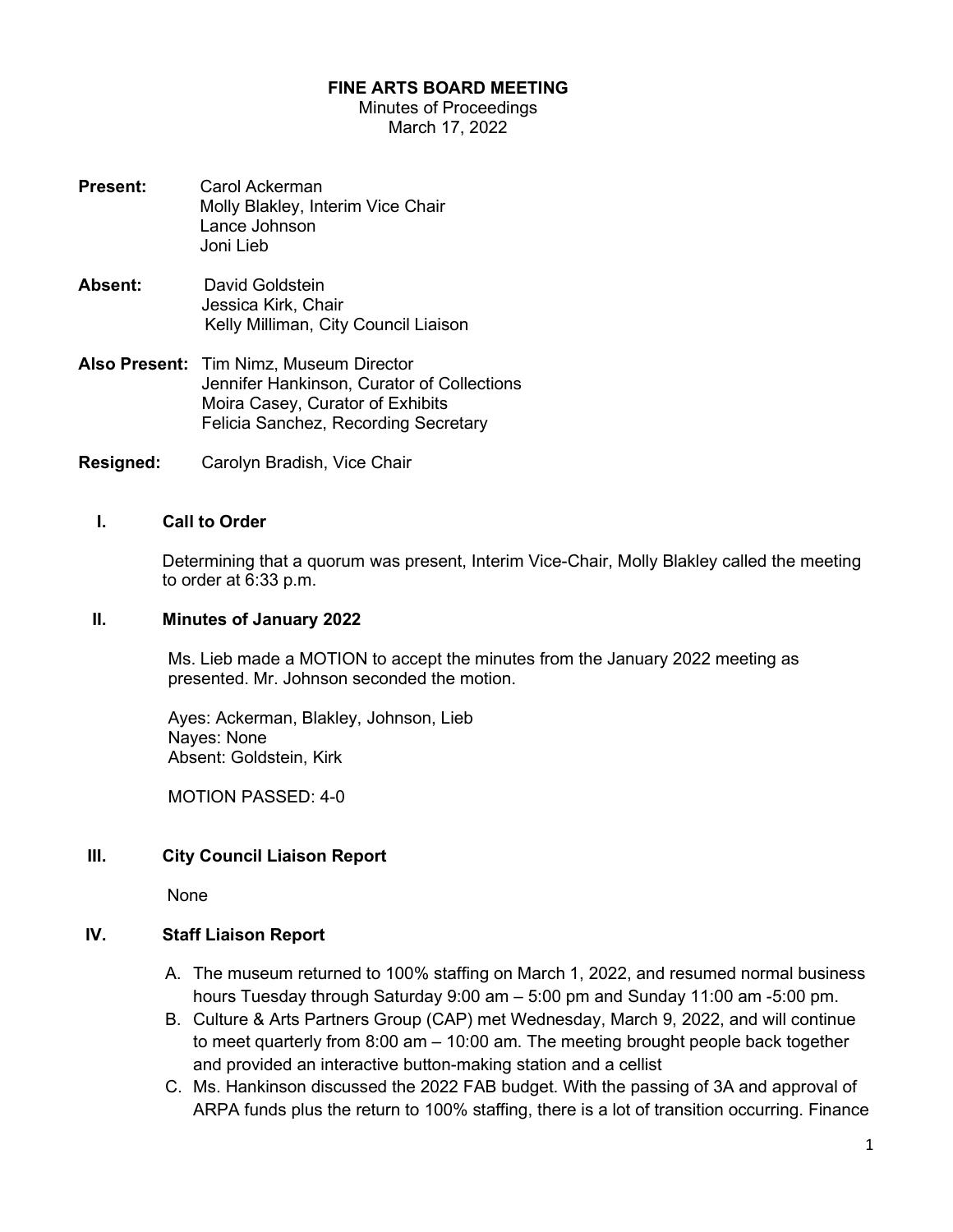#### FINE ARTS BOARD MEETING

Minutes of Proceedings March 17, 2022

- Present: Carol Ackerman Molly Blakley, Interim Vice Chair Lance Johnson Joni Lieb
- Absent: David Goldstein Jessica Kirk, Chair Kelly Milliman, City Council Liaison
- Also Present: Tim Nimz, Museum Director Jennifer Hankinson, Curator of Collections Moira Casey, Curator of Exhibits Felicia Sanchez, Recording Secretary
- Resigned: Carolyn Bradish, Vice Chair

#### I. Call to Order

Determining that a quorum was present, Interim Vice-Chair, Molly Blakley called the meeting to order at 6:33 p.m.

### II. Minutes of January 2022

Ms. Lieb made a MOTION to accept the minutes from the January 2022 meeting as presented. Mr. Johnson seconded the motion.

Ayes: Ackerman, Blakley, Johnson, Lieb Nayes: None Absent: Goldstein, Kirk

MOTION PASSED: 4-0

### III. City Council Liaison Report

None

### IV. Staff Liaison Report

- A. The museum returned to 100% staffing on March 1, 2022, and resumed normal business hours Tuesday through Saturday 9:00 am – 5:00 pm and Sunday 11:00 am -5:00 pm.
- B. Culture & Arts Partners Group (CAP) met Wednesday, March 9, 2022, and will continue to meet quarterly from 8:00 am – 10:00 am. The meeting brought people back together and provided an interactive button-making station and a cellist
- C. Ms. Hankinson discussed the 2022 FAB budget. With the passing of 3A and approval of ARPA funds plus the return to 100% staffing, there is a lot of transition occurring. Finance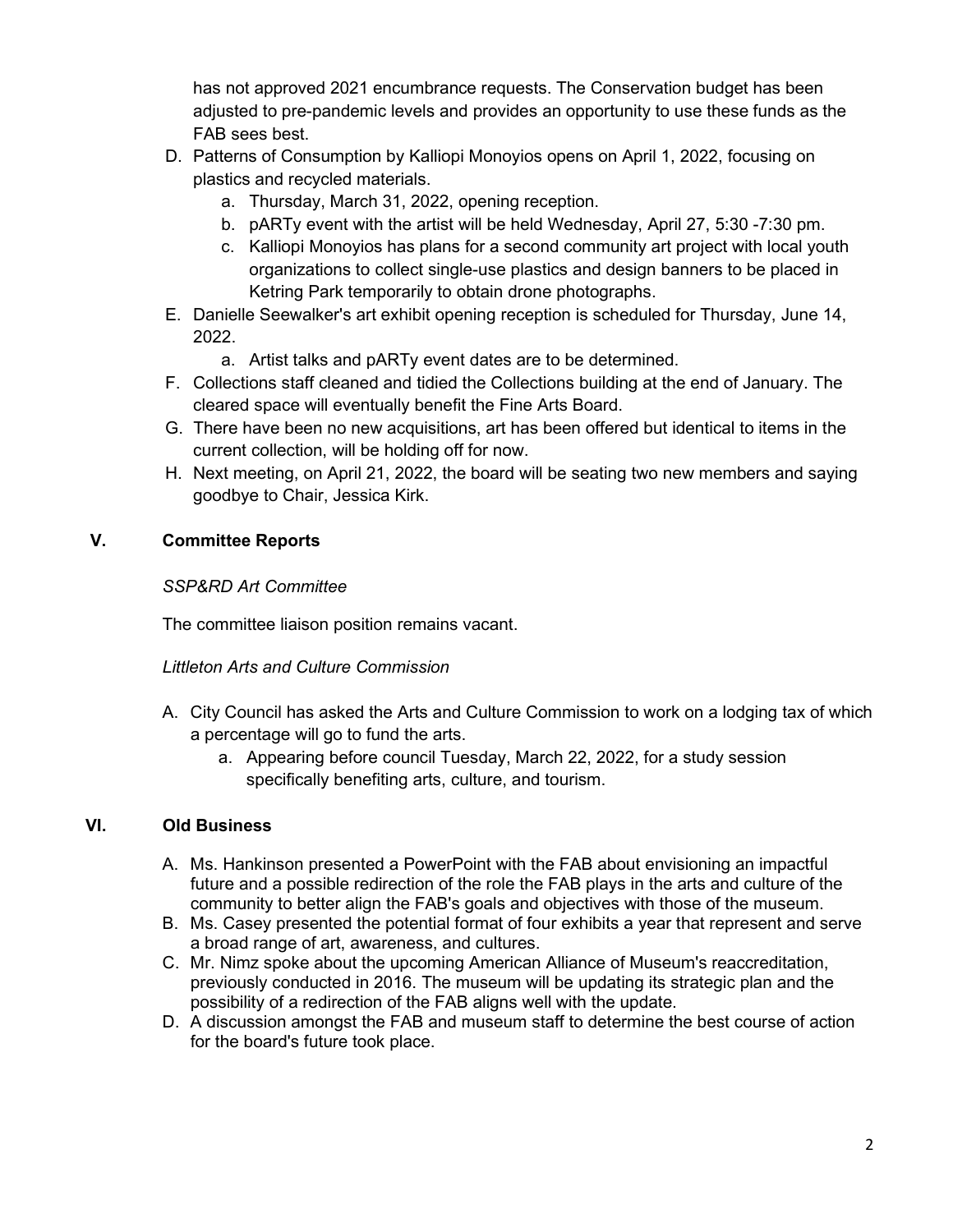has not approved 2021 encumbrance requests. The Conservation budget has been adjusted to pre-pandemic levels and provides an opportunity to use these funds as the FAB sees best.

- D. Patterns of Consumption by Kalliopi Monoyios opens on April 1, 2022, focusing on plastics and recycled materials.
	- a. Thursday, March 31, 2022, opening reception.
	- b. pARTy event with the artist will be held Wednesday, April 27, 5:30 -7:30 pm.
	- c. Kalliopi Monoyios has plans for a second community art project with local youth organizations to collect single-use plastics and design banners to be placed in Ketring Park temporarily to obtain drone photographs.
- E. Danielle Seewalker's art exhibit opening reception is scheduled for Thursday, June 14, 2022.
	- a. Artist talks and pARTy event dates are to be determined.
- F. Collections staff cleaned and tidied the Collections building at the end of January. The cleared space will eventually benefit the Fine Arts Board.
- G. There have been no new acquisitions, art has been offered but identical to items in the current collection, will be holding off for now.
- H. Next meeting, on April 21, 2022, the board will be seating two new members and saying goodbye to Chair, Jessica Kirk.

# V. Committee Reports

# SSP&RD Art Committee

The committee liaison position remains vacant.

# Littleton Arts and Culture Commission

- A. City Council has asked the Arts and Culture Commission to work on a lodging tax of which a percentage will go to fund the arts.
	- a. Appearing before council Tuesday, March 22, 2022, for a study session specifically benefiting arts, culture, and tourism.

# VI. Old Business

- A. Ms. Hankinson presented a PowerPoint with the FAB about envisioning an impactful future and a possible redirection of the role the FAB plays in the arts and culture of the community to better align the FAB's goals and objectives with those of the museum.
- B. Ms. Casey presented the potential format of four exhibits a year that represent and serve a broad range of art, awareness, and cultures.
- C. Mr. Nimz spoke about the upcoming American Alliance of Museum's reaccreditation, previously conducted in 2016. The museum will be updating its strategic plan and the possibility of a redirection of the FAB aligns well with the update.
- D. A discussion amongst the FAB and museum staff to determine the best course of action for the board's future took place.